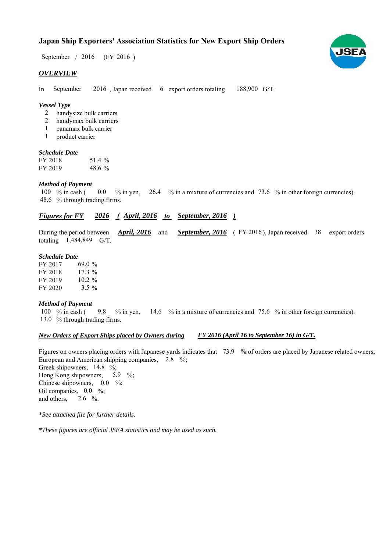# **Japan Ship Exporters' Association Statistics for New Export Ship Orders**

September / 2016 (FY 2016)

#### *OVERVIEW*

In September 2016, Japan received 6 export orders totaling 188,900 G/T. September

### *Vessel Type*

- handysize bulk carriers 2
- handymax bulk carriers 2
- panamax bulk carrier 1
- product carrier 1

#### *Schedule Date*

| FY 2018 | 51.4 %    |
|---------|-----------|
| FY 2019 | 48.6 $\%$ |

#### *Method of Payment*

% in cash ( $\qquad 0.0$  % in yen,  $\qquad 26.4$  % in a mixture of currencies and 73.6 % in other foreign currencies). % through trading firms. 48.6 100  $\%$  in cash (

## *Figures for FY* 2016 (*April, 2016 to September, 2016* )

During the period between *April, 2016* and *September, 2016* (FY 2016), Japan received 38 export orders totaling 1,484,849 G/T. *April, 2016*

#### *Schedule Date*

FY 2017 FY 2018 FY 2019 FY 2020 3.5  $%$ 17.3 %  $10.2%$ 69.0

#### *Method of Payment*

100 % in cash (9.8 % in yen, 14.6 % in a mixture of currencies and 75.6 % in other foreign currencies). 13.0 % through trading firms.

#### *New Orders of Export Ships placed by Owners during*

*FY 2016 (April 16 to September 16) in G/T.*

Figures on owners placing orders with Japanese yards indicates that 73.9 % of orders are placed by Japanese related owners, European and American shipping companies,  $2.8\%$ ; Greek shipowners, 14.8 %; Hong Kong shipowners,  $5.9\%$ ; Chinese shipowners,  $0.0\%$ ; Oil companies,  $0.0\%$ ; and others,  $2.6\frac{\ }{2}$ 5.9

*\*See attached file for further details.*

*\*These figures are official JSEA statistics and may be used as such.*

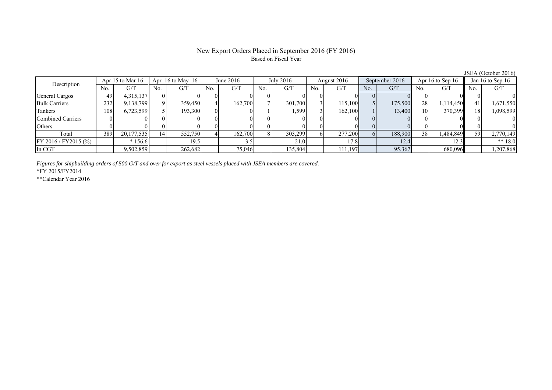### New Export Orders Placed in September 2016 (FY 2016) Based on Fiscal Year

No. G/T No. G/T No. G/T No. G/T No. G/T No. G/T No. G/T No. G/T General Cargos 49 4,315,137 0 0 0 0 0 0 0 0 0 0 0 0 0 0 Bulk Carriers | 232 9,138,799 9 359,450 4 162,700 7 301,700 3 115,100 5 175,500 28 1,114,450 41 1,671,550 Tankers | 108| 6,723,599|| 5| 193,300| 0| 0| 1| 1,599| 3| 162,100| 1| 13,400| 10| 370,399|| 18| 1,098,599 Combined Carriers 0 0 0 0 0 0 0 0 0 0 0 0 0 0 0 0 June 2016 July 2016 Description Apr 15 to Mar 16 Apr 16 to May 16 August 2016 September 2016 Apr 16 to Sep 16 Jan 16 to Sep 16

*Figures for shipbuilding orders of 500 G/T and over for export as steel vessels placed with JSEA members are covered.*

\*FY 2015/FY2014

\*\*Calendar Year 2016

JSEA (October 2016)

Others | 0 | 0 || 0 || 0 || 0 || 0 || 0 || 0 || 0 || 0 || 0 |

FY 2016 / FY2015 (%) \* 156.6 19.5 19.5 21.0 17.8 12.4 12.3 \* 18.0 In CGT | | 9,502,859|| | 262,682| | 75,046| | 135,804| | 111,197| | 95,367| | 680,096|| | 1,207,868

Total | 389 20,177,535|| 14| 552,750| 4| 162,700| 8| 303,299| 6| 277,200| 6| 188,900| 38| 1,484,849|| 59| 2,770,149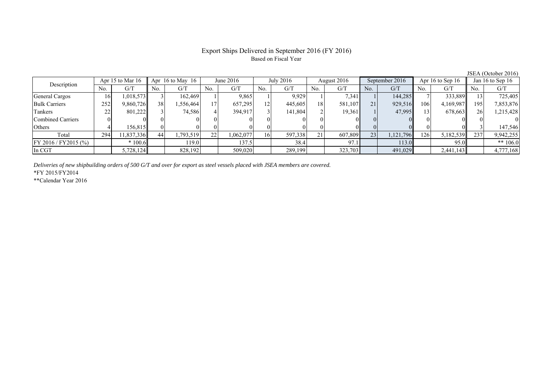# Export Ships Delivered in September 2016 (FY 2016) Based on Fiscal Year

|                         |     |                  |     |                  |     |             |     |           |     |             |     |                |      |                    |     | 0.011110000120100 |  |
|-------------------------|-----|------------------|-----|------------------|-----|-------------|-----|-----------|-----|-------------|-----|----------------|------|--------------------|-----|-------------------|--|
| Description             |     | Apr 15 to Mar 16 |     | Apr 16 to May 16 |     | June $2016$ |     | July 2016 |     | August 2016 |     | September 2016 |      | Apr 16 to Sep $16$ |     | Jan 16 to Sep 16  |  |
|                         | No. | G/T              | No. | G/T              | No. | G/T         | No. | G/T       | No. | G/T         | No. | G/T            | No.  | G/T                | No. | G/T               |  |
| General Cargos          | 16  | 1,018,573        |     | 162,469          |     | 9,865       |     | 9,929     |     | 7,341       |     | 144,285        |      | 333,889            |     | 725,405           |  |
| <b>Bulk Carriers</b>    | 252 | 9,860,726        | 38  | .556,464         |     | 657,295     | 12  | 445,605   | 18  | 581,107     | 21  | 929,516        | 106  | 4,169,987          | 195 | 7,853,876         |  |
| Tankers                 | 22  | 801,222          |     | 74,586           |     | 394,917     |     | 141,804   |     | 19,361      |     | 47.995         | 13   | 678,663            | 26  | 1,215,428         |  |
| Combined Carriers       |     |                  |     |                  |     |             |     |           |     |             |     |                |      |                    |     |                   |  |
| Others                  |     | 156.815          |     |                  |     |             |     |           |     |             |     |                |      |                    |     | 147,546           |  |
| Total                   | 294 | 11,837,336       | 44  | .793.519         | 22  | 1,062,077   | 16  | 597,338   | 21  | 607,809     | 23  | 1,121,796      | 1261 | 5,182,539          | 237 | 9,942,255         |  |
| $FY 2016 / FY 2015$ (%) |     | $*100.6$         |     | 119.0            |     | 137.5       |     | 38.4      |     | 97.         |     | 113.0          |      | 95.0               |     | ** $106.0$        |  |
| In CGT                  |     | 5,728,124        |     | 828,192          |     | 509,020     |     | 289,199   |     | 323,703     |     | 491,029        |      | 2,441,143          |     | 4,777,168         |  |

*Deliveries of new shipbuilding orders of 500 G/T and over for export as steel vessels placed with JSEA members are covered.*

\*FY 2015/FY2014

\*\*Calendar Year 2016

JSEA (October 2016)